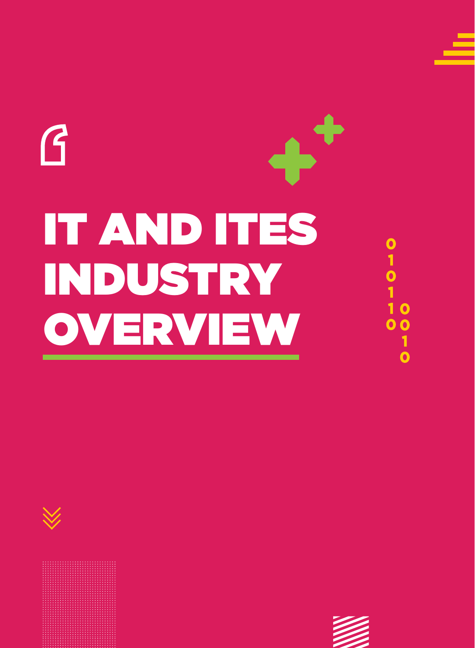# $\bm{G}$ IT AND ITES INDUSTRY OVERVIEW







0<br>1<br>0<br>1<br>1

 $\mathbf O$ 

 $\overline{\mathbf{O}}$ 

 $\overline{\mathbf{o}}$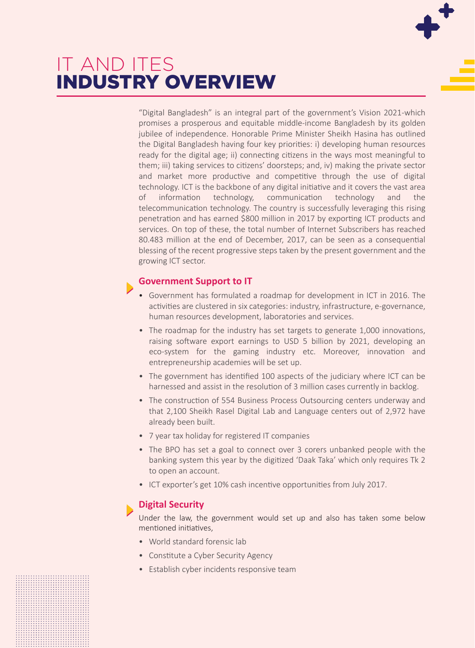### IT AND ITES INDUSTRY OVERVIEW

"Digital Bangladesh" is an integral part of the government's Vision 2021-which promises a prosperous and equitable middle-income Bangladesh by its golden jubilee of independence. Honorable Prime Minister Sheikh Hasina has outlined the Digital Bangladesh having four key priorities: i) developing human resources ready for the digital age; ii) connecting citizens in the ways most meaningful to them; iii) taking services to citizens' doorsteps; and, iv) making the private sector and market more productive and competitive through the use of digital technology. ICT is the backbone of any digital initiative and it covers the vast area of information technology, communication technology and the telecommunication technology. The country is successfully leveraging this rising penetration and has earned \$800 million in 2017 by exporting ICT products and services. On top of these, the total number of Internet Subscribers has reached 80.483 million at the end of December, 2017, can be seen as a consequential blessing of the recent progressive steps taken by the present government and the growing ICT sector.

#### **Government Support to IT**

- Government has formulated a roadmap for development in ICT in 2016. The activities are clustered in six categories: industry, infrastructure, e-governance, human resources development, laboratories and services.
- The roadmap for the industry has set targets to generate 1,000 innovations, raising software export earnings to USD 5 billion by 2021, developing an eco-system for the gaming industry etc. Moreover, innovation and entrepreneurship academies will be set up.
- The government has identified 100 aspects of the judiciary where ICT can be harnessed and assist in the resolution of 3 million cases currently in backlog.
- The construction of 554 Business Process Outsourcing centers underway and that 2,100 Sheikh Rasel Digital Lab and Language centers out of 2,972 have already been built.
- 7 year tax holiday for registered IT companies
- The BPO has set a goal to connect over 3 corers unbanked people with the banking system this year by the digitized 'Daak Taka' which only requires Tk 2 to open an account.
- ICT exporter's get 10% cash incentive opportunities from July 2017.

#### **Digital Security**

Under the law, the government would set up and also has taken some below mentioned initiatives,

- World standard forensic lab
- Constitute a Cyber Security Agency
- Establish cyber incidents responsive team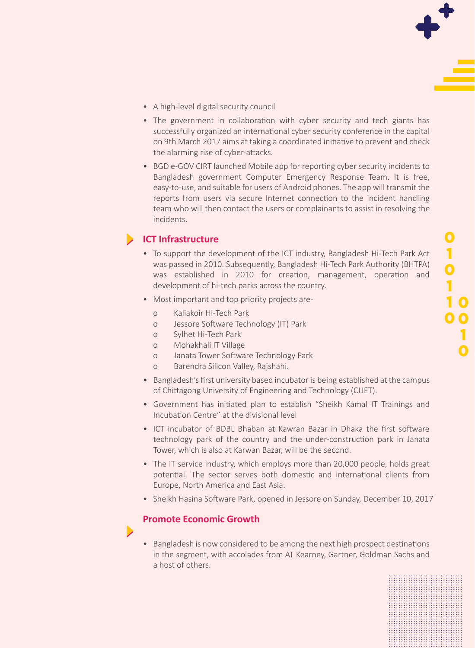- A high-level digital security council
- The government in collaboration with cyber security and tech giants has successfully organized an international cyber security conference in the capital on 9th March 2017 aims at taking a coordinated initiative to prevent and check the alarming rise of cyber-attacks.
- BGD e-GOV CIRT launched Mobile app for reporting cyber security incidents to Bangladesh government Computer Emergency Response Team. It is free, easy-to-use, and suitable for users of Android phones. The app will transmit the reports from users via secure Internet connection to the incident handling team who will then contact the users or complainants to assist in resolving the incidents.

#### **ICT Infrastructure**

- To support the development of the ICT industry, Bangladesh Hi-Tech Park Act was passed in 2010. Subsequently, Bangladesh Hi-Tech Park Authority (BHTPA) was established in 2010 for creation, management, operation and development of hi-tech parks across the country.
- Most important and top priority projects are
	- o Kaliakoir Hi-Tech Park
	- o Jessore Software Technology (IT) Park
	- o Sylhet Hi-Tech Park
	- o Mohakhali IT Village
	- o Janata Tower Software Technology Park
	- o Barendra Silicon Valley, Rajshahi.
- Bangladesh's first university based incubator is being established at the campus of Chittagong University of Engineering and Technology (CUET).
- Government has initiated plan to establish "Sheikh Kamal IT Trainings and Incubation Centre" at the divisional level
- ICT incubator of BDBL Bhaban at Kawran Bazar in Dhaka the first software technology park of the country and the under-construction park in Janata Tower, which is also at Karwan Bazar, will be the second.
- The IT service industry, which employs more than 20,000 people, holds great potential. The sector serves both domestic and international clients from Europe, North America and East Asia.
- Sheikh Hasina Software Park, opened in Jessore on Sunday, December 10, 2017

#### **Promote Economic Growth**

 $\blacktriangleright$ 

• Bangladesh is now considered to be among the next high prospect destinations in the segment, with accolades from AT Kearney, Gartner, Goldman Sachs and a host of others.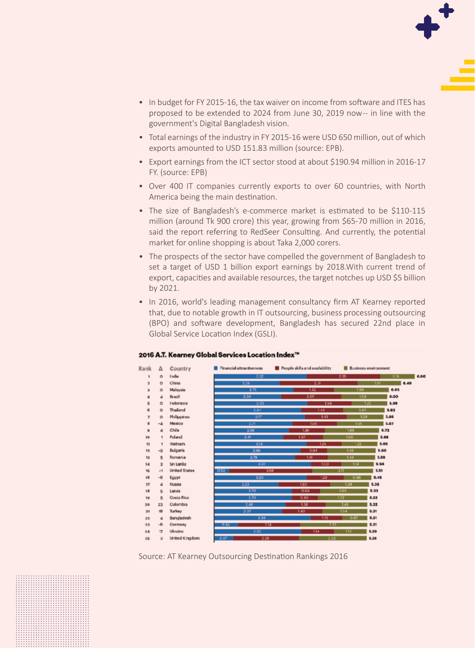

- In budget for FY 2015-16, the tax waiver on income from software and ITES has proposed to be extended to 2024 from June 30, 2019 now-- in line with the government's Digital Bangladesh vision.
- Total earnings of the industry in FY 2015-16 were USD 650 million, out of which exports amounted to USD 151.83 million (source: EPB).
- Export earnings from the ICT sector stood at about \$190.94 million in 2016-17 FY. (source: EPB)
- Over 400 IT companies currently exports to over 60 countries, with North America being the main destination.
- The size of Bangladesh's e-commerce market is estimated to be \$110-115 million (around Tk 900 crore) this year, growing from \$65-70 million in 2016, said the report referring to RedSeer Consulting. And currently, the potential market for online shopping is about Taka 2,000 corers.
- The prospects of the sector have compelled the government of Bangladesh to set a target of USD 1 billion export earnings by 2018.With current trend of export, capacities and available resources, the target notches up USD \$5 billion by 2021.
- In 2016, world's leading management consultancy firm AT Kearney reported that, due to notable growth in IT outsourcing, business processing outsourcing (BPO) and software development, Bangladesh has secured 22nd place in Global Service Location Index (GSLI).

#### 2016 A.T. Kearney Global Services Location Index™



Source: AT Kearney Outsourcing Destination Rankings 2016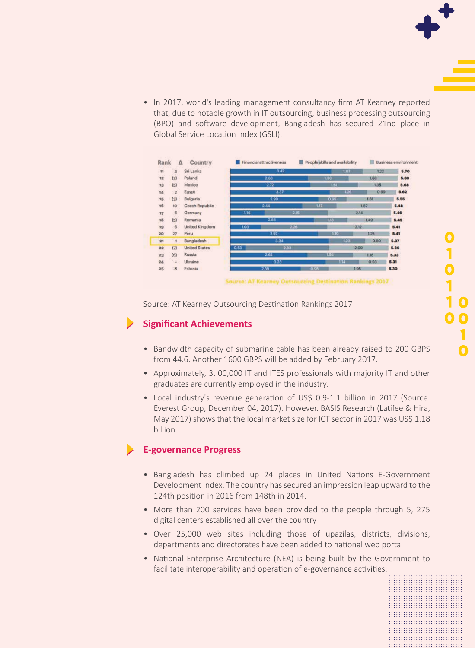• In 2017, world's leading management consultancy firm AT Kearney reported that, due to notable growth in IT outsourcing, business processing outsourcing (BPO) and software development, Bangladesh has secured 21nd place in Global Service Location Index (GSLI).

| <b>TI</b> | $\overline{3}$  | Sri Lanka            |      | 3.42<br>2.63 |      | 1.07<br>1.38<br>1.61<br>1.26 |              |      | 122  | 5.70<br>5.69<br>5.68<br>5.62 |
|-----------|-----------------|----------------------|------|--------------|------|------------------------------|--------------|------|------|------------------------------|
| 12        | (2)             | Poland               |      |              |      |                              |              |      | 1.68 |                              |
| 13        | (5)             | Mexico               | 2.72 |              |      |                              |              |      | 1.35 |                              |
| 14        | $\overline{2}$  | Egypt                |      | 3.37         |      |                              |              |      | 0.99 |                              |
| 15        | (3)             | Bulgaria             |      | 2.99         |      |                              | 0.95         |      | 1.61 | 5.55<br>5.48                 |
| 16        | 10 <sup>°</sup> | Czech Republic       |      | 2.44         |      | 1.17                         |              |      | 1.87 |                              |
| 17        | $\overline{6}$  | Germany              | 1.16 |              | 2.15 |                              |              | 2.14 | 5.46 |                              |
| 18        | (5)             | Romania              |      | 2.84         |      |                              | 1.13         |      | 1.49 | 5.45                         |
| 19        | 6               | United Kingdom       | 1.03 | 2.26         |      |                              |              | 2.12 |      | 5.41                         |
| 20        | 27              | Peru                 |      | 2.97         |      |                              | 1.19         |      | 1.25 | 5.41                         |
| 21        | $\mathcal{I}$   | Bangladesh           |      | 3.34         |      |                              | 123          |      | 0.80 | 5.37                         |
| 22        | (7)             | <b>United States</b> | 0.53 | 2.83.        |      |                              | 2.00         |      |      | 5.36                         |
| 23        | (6)             | Russia               |      | 2.62         |      |                              | 1.54         |      | 1.18 | 5.33                         |
| 24        | ٠               | Ukraine              |      | 3.23         |      |                              | 1.14         |      | 0.93 | 5.31                         |
| 25        | $\mathbf{B}$    | Estonia              |      | 2.39         |      |                              | 0.95<br>1.95 |      |      | 5.30                         |

Source: AT Kearney Outsourcing Destination Rankings 2017

#### **Significant Achievements**

- Bandwidth capacity of submarine cable has been already raised to 200 GBPS from 44.6. Another 1600 GBPS will be added by February 2017.
- Approximately, 3, 00,000 IT and ITES professionals with majority IT and other graduates are currently employed in the industry.
- Local industry's revenue generation of US\$ 0.9-1.1 billion in 2017 (Source: Everest Group, December 04, 2017). However. BASIS Research (Latifee & Hira, May 2017) shows that the local market size for ICT sector in 2017 was US\$ 1.18 billion.

#### **E-governance Progress**

- Bangladesh has climbed up 24 places in United Nations E-Government Development Index. The country has secured an impression leap upward to the 124th position in 2016 from 148th in 2014.
- More than 200 services have been provided to the people through 5, 275 digital centers established all over the country
- Over 25,000 web sites including those of upazilas, districts, divisions, departments and directorates have been added to national web portal
- National Enterprise Architecture (NEA) is being built by the Government to facilitate interoperability and operation of e-governance activities.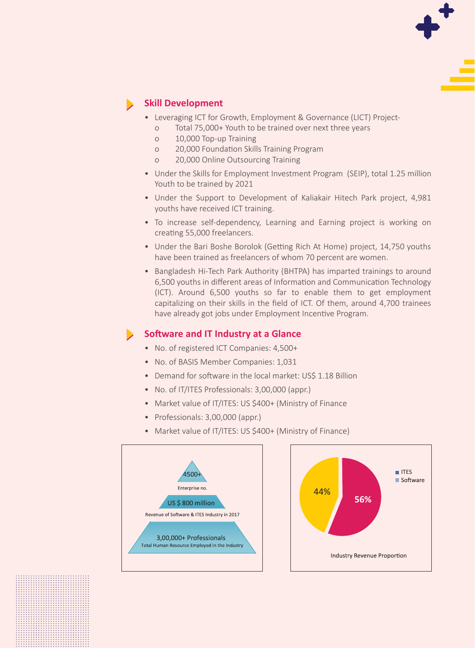

#### **Skill Development**

- Leveraging ICT for Growth, Employment & Governance (LICT) Project
	- o Total 75,000+ Youth to be trained over next three years
	- o 10,000 Top-up Training
	- o 20,000 Foundation Skills Training Program
	- o 20,000 Online Outsourcing Training
- Under the Skills for Employment Investment Program (SEIP), total 1.25 million Youth to be trained by 2021
- Under the Support to Development of Kaliakair Hitech Park project, 4,981 youths have received ICT training.
- To increase self-dependency, Learning and Earning project is working on creating 55,000 freelancers.
- Under the Bari Boshe Borolok (Getting Rich At Home) project, 14,750 youths have been trained as freelancers of whom 70 percent are women.
- Bangladesh Hi-Tech Park Authority (BHTPA) has imparted trainings to around 6,500 youths in different areas of Information and Communication Technology (ICT). Around 6,500 youths so far to enable them to get employment capitalizing on their skills in the field of ICT. Of them, around 4,700 trainees have already got jobs under Employment Incentive Program.

#### **Software and IT Industry at a Glance**

- No. of registered ICT Companies: 4,500+
- No. of BASIS Member Companies: 1,031
- Demand for software in the local market: US\$ 1.18 Billion
- No. of IT/ITES Professionals: 3,00,000 (appr.)
- Market value of IT/ITES: US \$400+ (Ministry of Finance
- Professionals: 3,00,000 (appr.)
- Market value of IT/ITES: US \$400+ (Ministry of Finance)